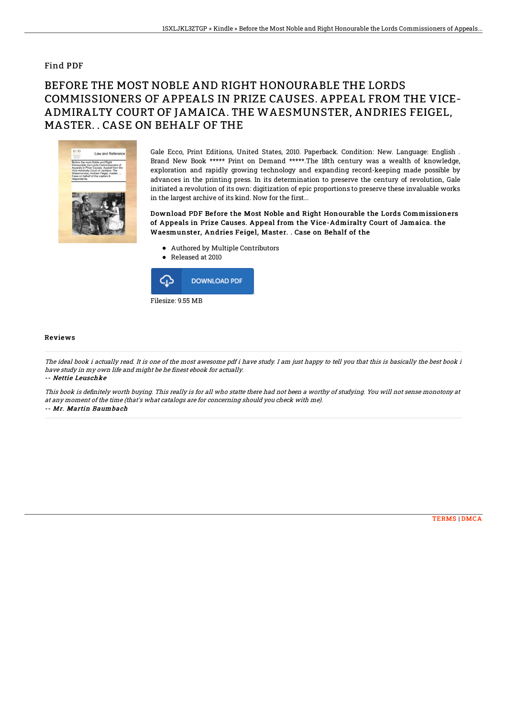## Find PDF

## BEFORE THE MOST NOBLE AND RIGHT HONOURABLE THE LORDS COMMISSIONERS OF APPEALS IN PRIZE CAUSES. APPEAL FROM THE VICE-ADMIRALTY COURT OF JAMAICA. THE WAESMUNSTER, ANDRIES FEIGEL, MASTER. . CASE ON BEHALF OF THE



Gale Ecco, Print Editions, United States, 2010. Paperback. Condition: New. Language: English . Brand New Book \*\*\*\*\* Print on Demand \*\*\*\*\*.The 18th century was a wealth of knowledge, exploration and rapidly growing technology and expanding record-keeping made possible by advances in the printing press. In its determination to preserve the century of revolution, Gale initiated a revolution of its own: digitization of epic proportions to preserve these invaluable works in the largest archive of its kind. Now for the first...

Download PDF Before the Most Noble and Right Honourable the Lords Commissioners of Appeals in Prize Causes. Appeal from the Vice-Admiralty Court of Jamaica. the Waesmunster, Andries Feigel, Master. . Case on Behalf of the

- Authored by Multiple Contributors
- Released at 2010



## Reviews

The ideal book i actually read. It is one of the most awesome pdf i have study. I am just happy to tell you that this is basically the best book i have study in my own life and might be he finest ebook for actually.

-- Nettie Leuschke

This book is definitely worth buying. This really is for all who statte there had not been a worthy of studying. You will not sense monotony at at any moment of the time (that's what catalogs are for concerning should you check with me). -- Mr. Martin Baumbach

[TERMS](http://techno-pub.tech/terms.html) | [DMCA](http://techno-pub.tech/dmca.html)